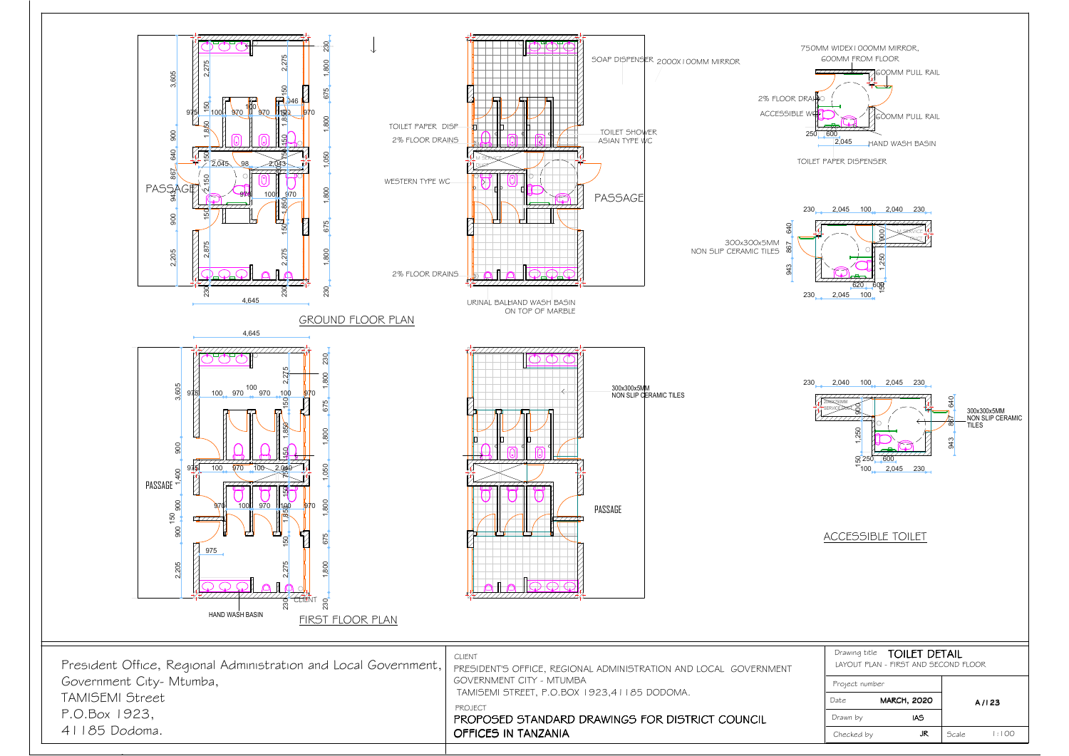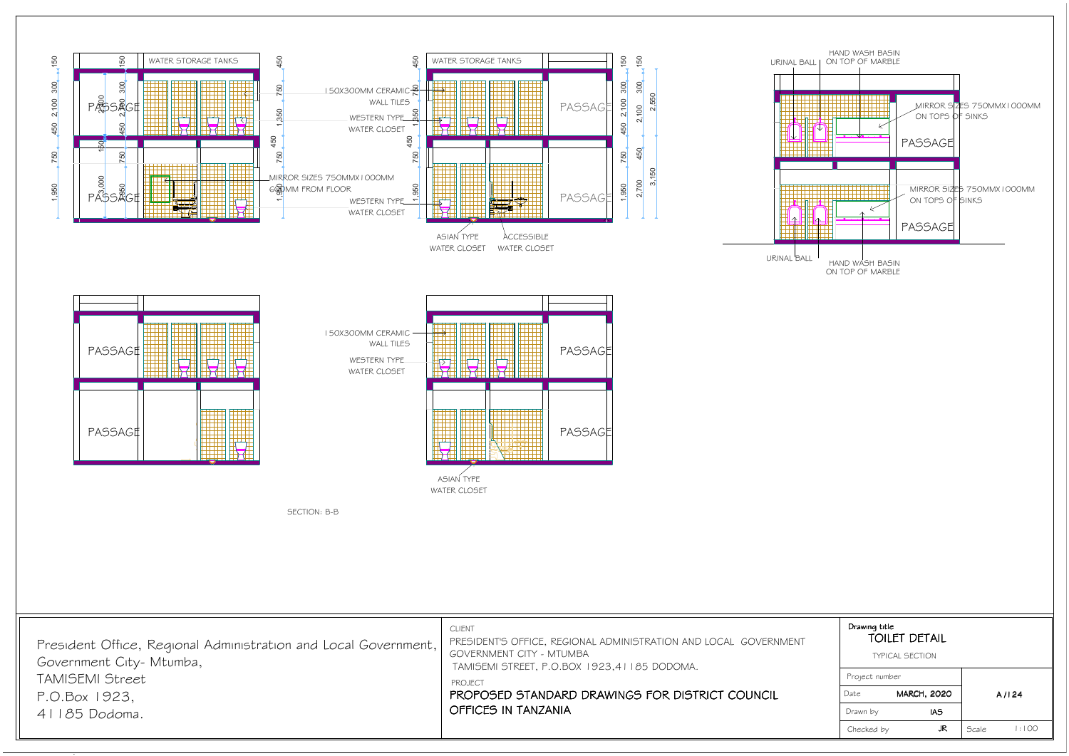*TAMISEMI Street*

*P.O.Box 1923,41185 Dodoma.*



| Drawing title<br><b>TOILET DETAIL</b> |                        |        |       |
|---------------------------------------|------------------------|--------|-------|
|                                       | <b>TYPICAL SECTION</b> |        |       |
| Project number                        |                        |        |       |
| Date                                  | <b>MARCH, 2020</b>     |        | A/124 |
| Drawn by                              | <b>IAS</b>             |        |       |
| Checked by                            | JR.                    | Scale. | :100  |

*PROJECT*

 *PROPOSED STANDARD DRAWINGS FOR DISTRICT COUNCILOFFICES IN TANZANIA*

 *TAMISEMI STREET, P.O.BOX 1923,41185 DODOMA.*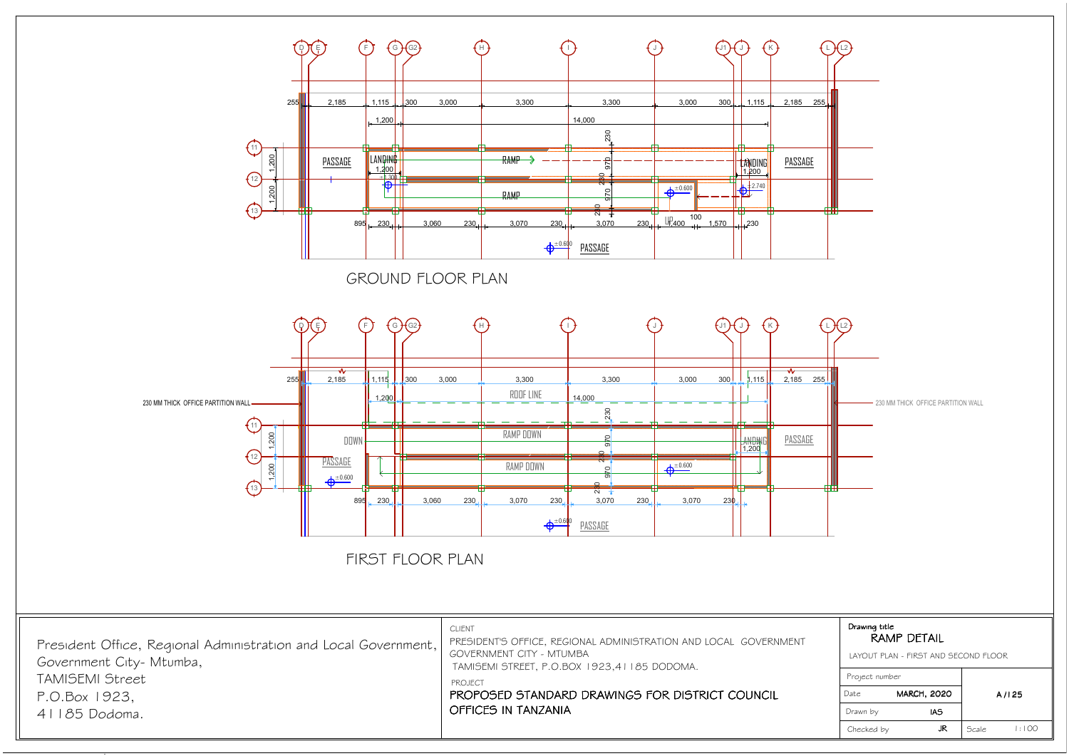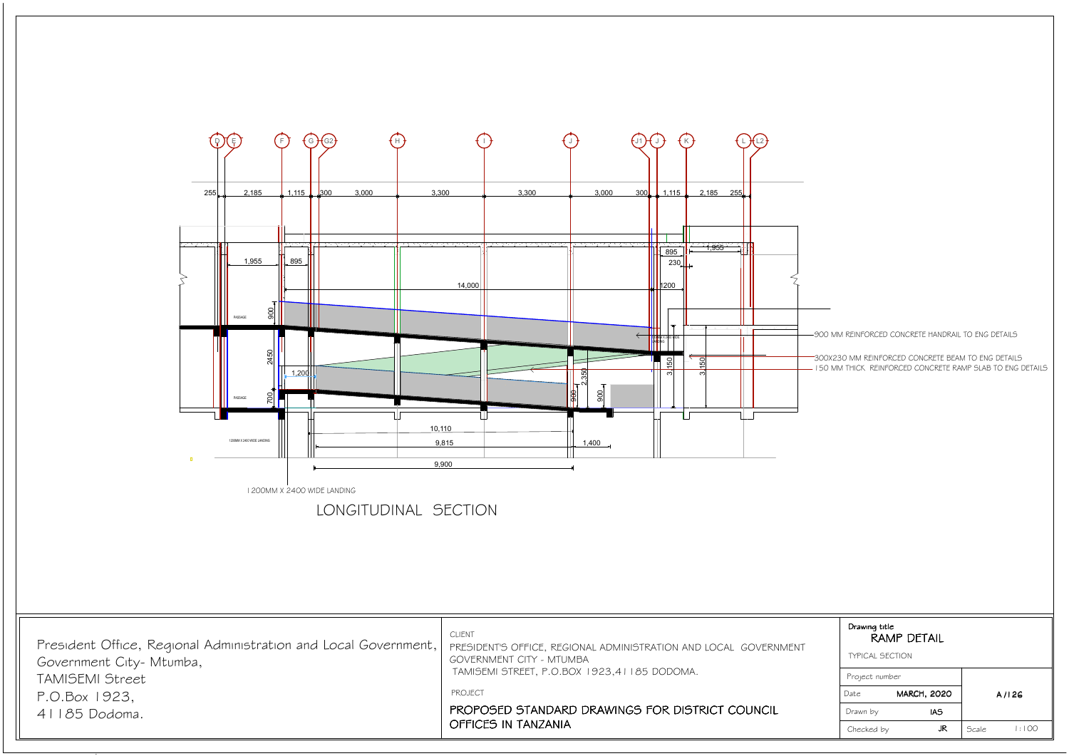

| Drawing title<br><b>TYPICAL SECTION</b> | <b>RAMP DETAIL</b>               |        |       |
|-----------------------------------------|----------------------------------|--------|-------|
| Project number                          |                                  |        |       |
| Date<br>Drawn by                        | <b>MARCH, 2020</b><br><b>IAS</b> |        | A/I2G |
| Checked by                              | JR.                              | Scale. | . OO  |

*900 MM REINFORCED CONCRETE HANDRAIL TO ENG DETAILS*

| President Office, Regional Administration and Local Government,   PRESIDENT'S OFFICE, REGIONAL ADMINISTRATION AND LOCAL GOVERNMENT | <b>CLIENT</b>                                                                 |
|------------------------------------------------------------------------------------------------------------------------------------|-------------------------------------------------------------------------------|
| Government City- Mtumba,                                                                                                           | <b>GOVERNMENT CITY - MTUMBA</b>                                               |
| <b>TAMISEMI Street</b>                                                                                                             | TAMISEMI STREET, P.O.BOX 1923,41185 DODOMA.                                   |
| P.O.Box 1923,                                                                                                                      | PROJECT                                                                       |
| 41185 Dodoma.                                                                                                                      | PROPOSED STANDARD DRAWINGS FOR DISTRICT COUNCIL<br><b>OFFICES IN TANZANIA</b> |

*150 MM THICK REINFORCED CONCRETE RAMP SLAB TO ENG DETAILS 300X230 MM REINFORCED CONCRETE BEAM TO ENG DETAILS*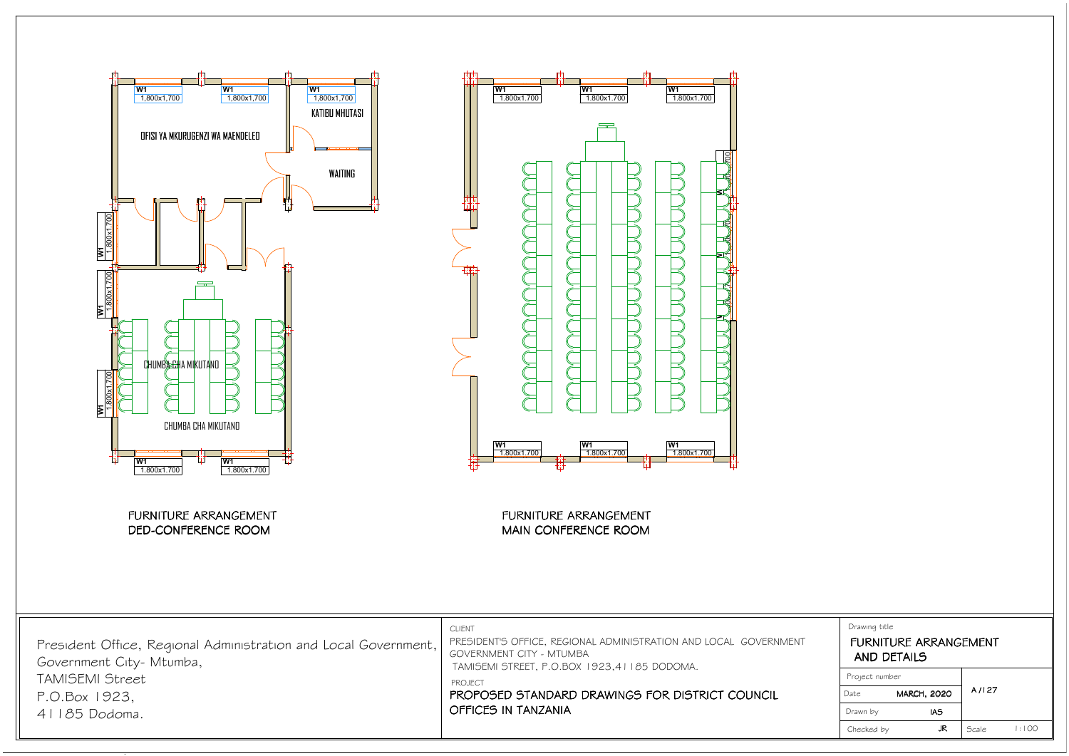

| Drawing title<br><b>AND DETAILS</b> | FURNITURE ARRANGEMENT |       |      |
|-------------------------------------|-----------------------|-------|------|
| Project number                      |                       |       |      |
| <b>MARCH, 2020</b><br>Date          |                       | A/127 |      |
| Drawn by                            | IAS                   |       |      |
| Checked by                          | JR                    | Scale | .100 |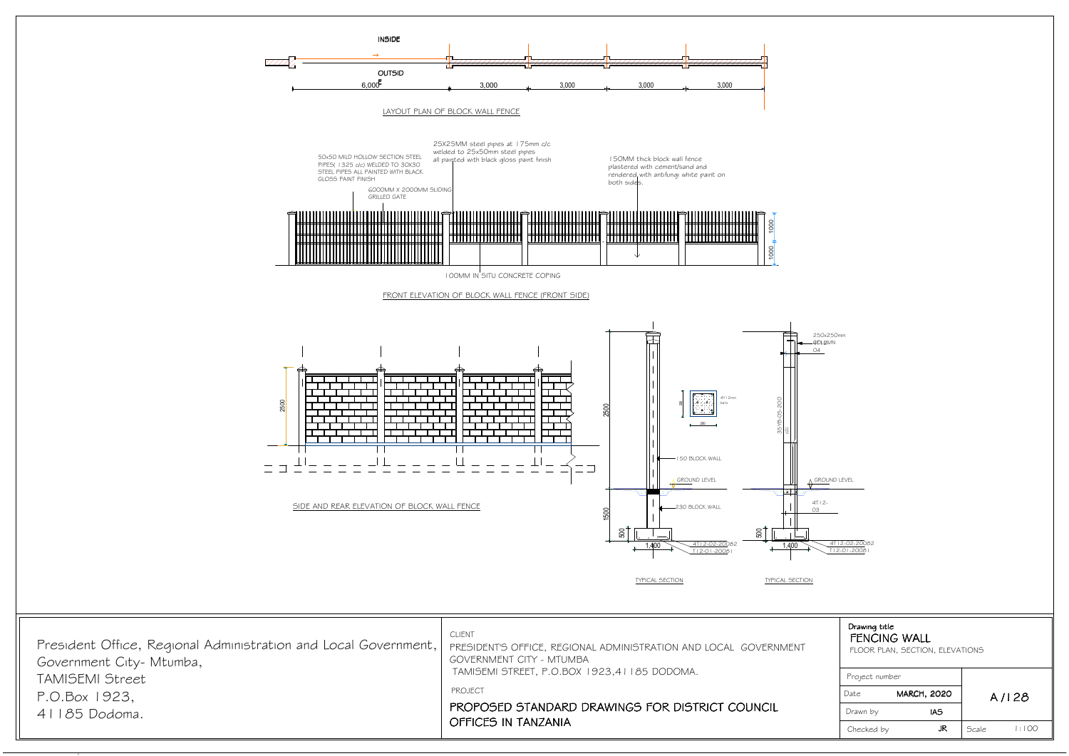| Drawing title<br><b>FENCING WALL</b><br>FLOOR PLAN, SECTION, ELEVATIONS |                    |              |       |
|-------------------------------------------------------------------------|--------------------|--------------|-------|
| Project number                                                          |                    |              |       |
| Date                                                                    | <b>MARCH, 2020</b> |              | A/I28 |
| Drawn by                                                                | IAS                |              |       |
| Checked by                                                              | JR                 | <b>Scale</b> | .100  |

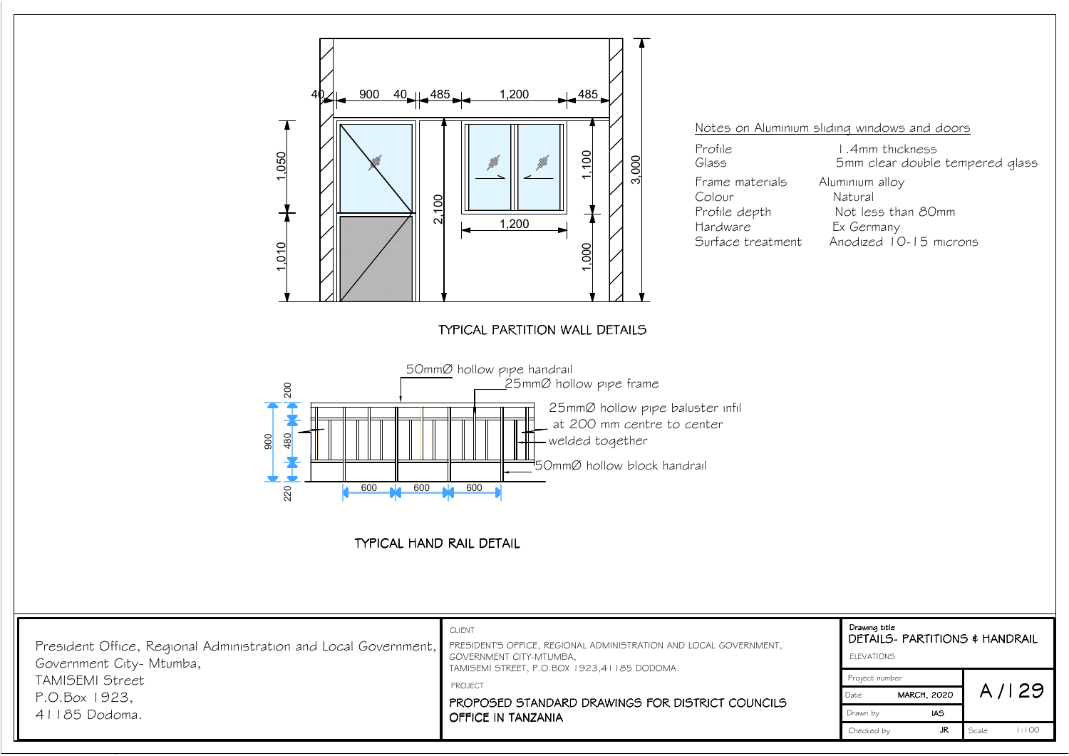

| Drawing title<br>DETAILS- PARTITIONS & HANDRAIL<br><b>ELEVATIONS</b> |                    |              |          |
|----------------------------------------------------------------------|--------------------|--------------|----------|
| Project number                                                       |                    |              |          |
| Date                                                                 | <b>MARCH, 2020</b> |              | A/129    |
| Drawn by                                                             | IAS                |              |          |
| Checked by                                                           | JR                 | <b>Scale</b> | 1 : I OO |

*Profile depth Not less than 80mm Surface treatment Anodized 10-15 microns*

*Glass 5mm clear double tempered glass*

*Notes on Aluminium sliding windows and doors*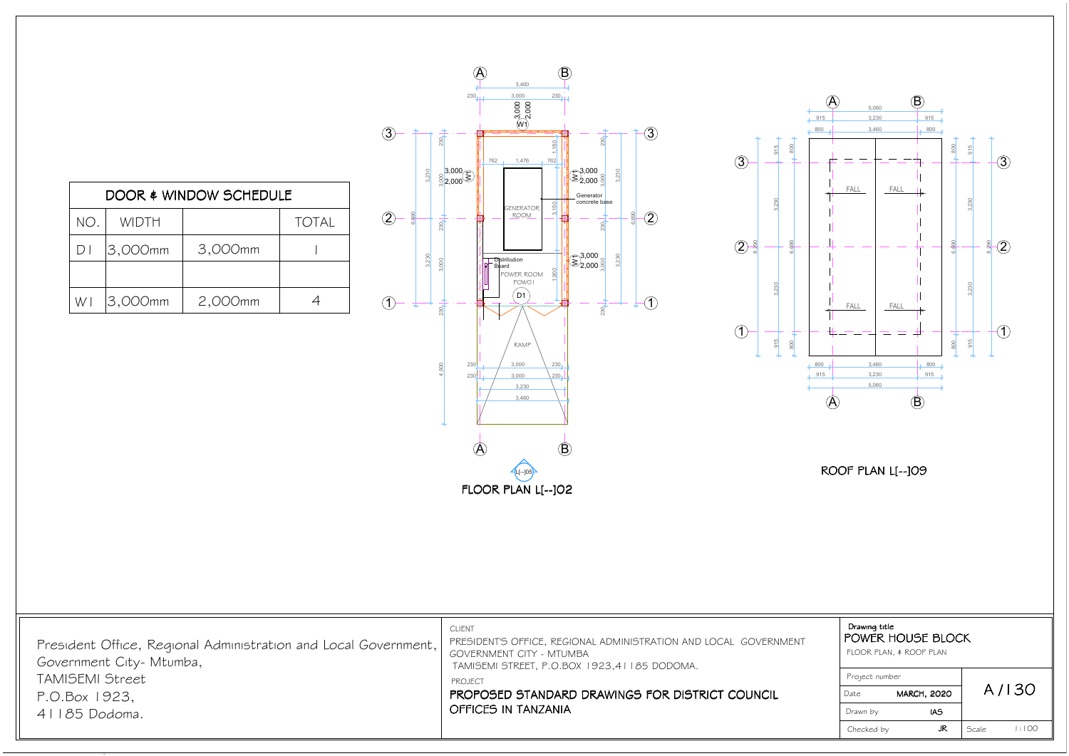

915  $\frac{1}{2}$  915  $\frac{1}{2}$  915  $\frac{1}{2}$  915

,230

3,230



| DOOR & WINDOW SCHEDULE |         |         |              |  |
|------------------------|---------|---------|--------------|--|
| NO.                    | WIDTH   |         | <b>TOTAL</b> |  |
| $D \mid$               | 3,000mm | 3,000mm |              |  |
|                        |         |         |              |  |
| WI                     | 3,000mm | 2,000mm |              |  |

| Drawing title<br>POWER HOUSE BLOCK<br>FLOOR PLAN, \$ ROOF PLAN |                    |       |       |
|----------------------------------------------------------------|--------------------|-------|-------|
| Project number                                                 |                    |       |       |
| Date                                                           | <b>MARCH, 2020</b> |       | A/130 |
| Drawn by                                                       | IAS                |       |       |
| Checked by                                                     | JR                 | Scale | . 00  |

| President Office, Regional Administration and Local Government,   PRESIDENT'S OFFICE, REGIONAL ADMINISTRATION AND LOCAL GOVERNMENT<br>GOVERNMENT CITY - MTUMBA<br>TAMISEMI STREET, P.O.BOX 1923,41185 DODOMA.<br>PROPOSED STANDARD DRAWINGS FOR DISTRICT COUNCIL<br><b>OFFICES IN TANZANIA</b> |
|------------------------------------------------------------------------------------------------------------------------------------------------------------------------------------------------------------------------------------------------------------------------------------------------|
|                                                                                                                                                                                                                                                                                                |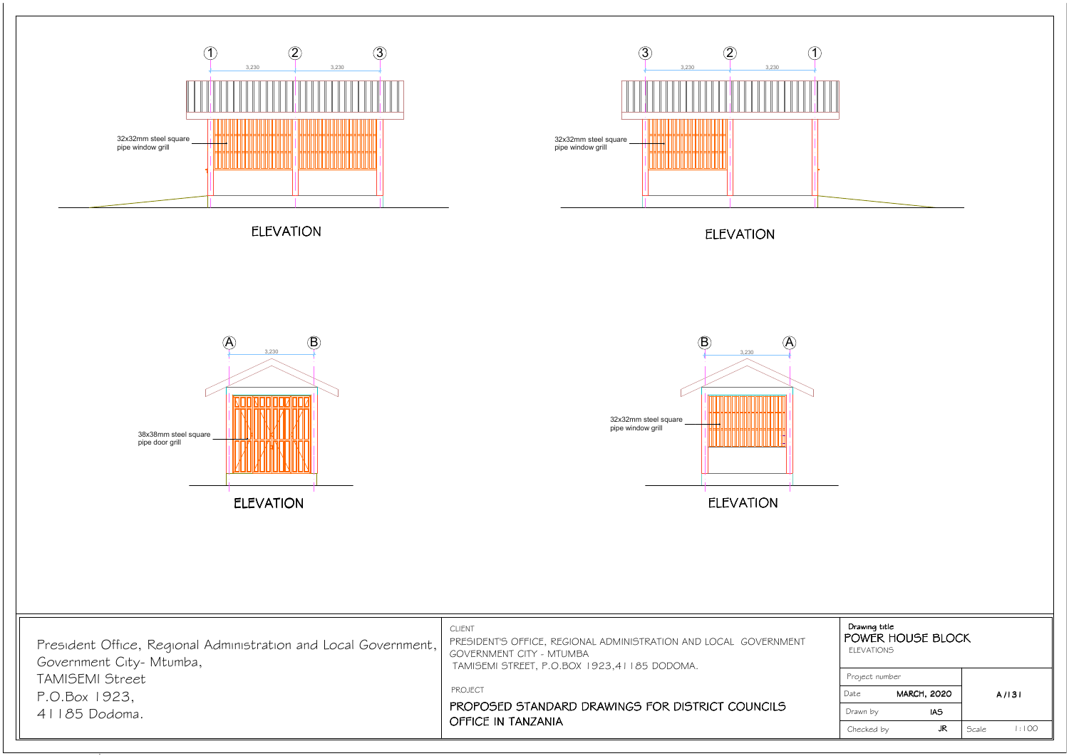

| Drawing title<br>POWER HOUSE BLOCK<br><b>ELEVATIONS</b> |     |              |       |
|---------------------------------------------------------|-----|--------------|-------|
| Project number                                          |     |              |       |
| <b>MARCH, 2020</b><br>Date                              |     |              | A/131 |
| Drawn by                                                | IAS |              |       |
| Checked by                                              | JR  | <b>Scale</b> | . OO  |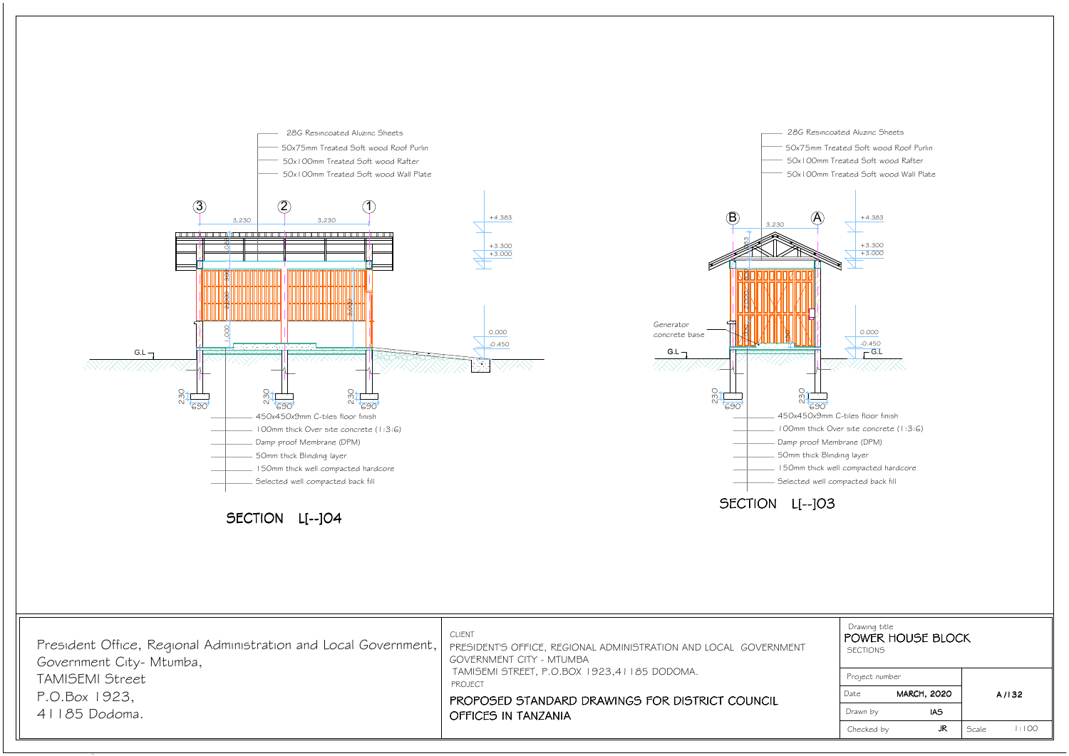*50x100mm Treated Soft wood Wall Plate*

- 
- 
- 



| Drawing title<br><b>SECTIONS</b> | POWER HOUSE BLOCK  |       |       |
|----------------------------------|--------------------|-------|-------|
| Project number                   |                    |       |       |
| Date                             | <b>MARCH, 2020</b> |       | A/132 |
| Drawn by                         | IAS                |       |       |
| Checked by                       | JR.                | Scale | :100  |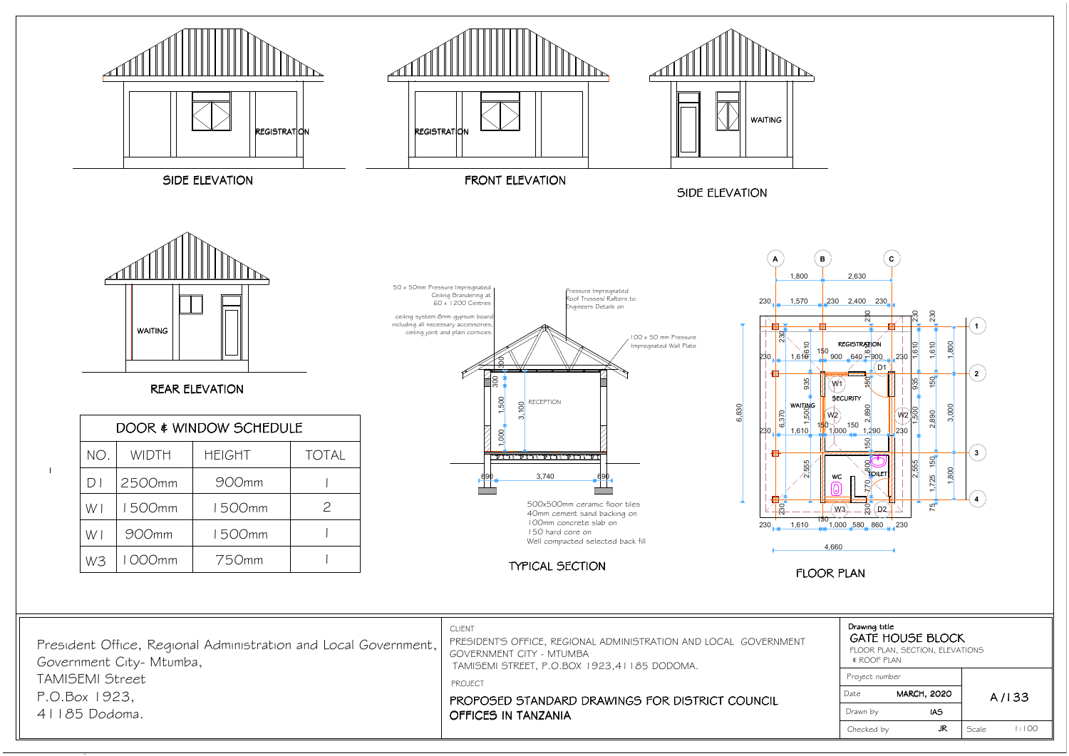*JR*

*Checked by*

*Scale*

*1:100*



| President Office, Regional Administration and Local Government,<br>Government City- Mtumba, | <b>CLIENT</b><br>PRESIDENT'S OFFICE, REGIONAL ADMINISTRATION AND LOCAL GOVE<br>GOVERNMENT CITY - MTUMBA<br>TAMISEMI STREET, P.O.BOX 1923,41185 DODOMA. |
|---------------------------------------------------------------------------------------------|--------------------------------------------------------------------------------------------------------------------------------------------------------|
| TAMISEMI Street                                                                             | <b>PROJECT</b>                                                                                                                                         |
| P.O.Box 1923.<br>$41185$ Dodoma.                                                            | PROPOSED STANDARD DRAWINGS FOR DISTRICT COUNC<br>OFFICES IN TANZANIA                                                                                   |